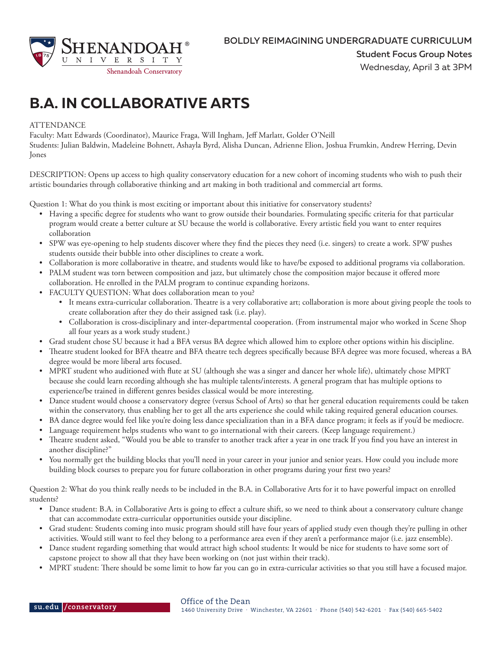

## **B.A. IN COLLABORATIVE ARTS**

## **ATTENDANCE**

Faculty: Matt Edwards (Coordinator), Maurice Fraga, Will Ingham, Jeff Marlatt, Golder O'Neill

Students: Julian Baldwin, Madeleine Bohnett, Ashayla Byrd, Alisha Duncan, Adrienne Elion, Joshua Frumkin, Andrew Herring, Devin Jones

DESCRIPTION: Opens up access to high quality conservatory education for a new cohort of incoming students who wish to push their artistic boundaries through collaborative thinking and art making in both traditional and commercial art forms.

Question 1: What do you think is most exciting or important about this initiative for conservatory students?

- Having a specific degree for students who want to grow outside their boundaries. Formulating specific criteria for that particular program would create a better culture at SU because the world is collaborative. Every artistic field you want to enter requires collaboration
- SPW was eye-opening to help students discover where they find the pieces they need (i.e. singers) to create a work. SPW pushes students outside their bubble into other disciplines to create a work.
- Collaboration is more collaborative in theatre, and students would like to have/be exposed to additional programs via collaboration.
- PALM student was torn between composition and jazz, but ultimately chose the composition major because it offered more collaboration. He enrolled in the PALM program to continue expanding horizons.
- FACULTY QUESTION: What does collaboration mean to you?
	- It means extra-curricular collaboration. Theatre is a very collaborative art; collaboration is more about giving people the tools to create collaboration after they do their assigned task (i.e. play).
	- Collaboration is cross-disciplinary and inter-departmental cooperation. (From instrumental major who worked in Scene Shop all four years as a work study student.)
- Grad student chose SU because it had a BFA versus BA degree which allowed him to explore other options within his discipline.
- Theatre student looked for BFA theatre and BFA theatre tech degrees specifically because BFA degree was more focused, whereas a BA degree would be more liberal arts focused.
- MPRT student who auditioned with flute at SU (although she was a singer and dancer her whole life), ultimately chose MPRT because she could learn recording although she has multiple talents/interests. A general program that has multiple options to experience/be trained in different genres besides classical would be more interesting.
- Dance student would choose a conservatory degree (versus School of Arts) so that her general education requirements could be taken within the conservatory, thus enabling her to get all the arts experience she could while taking required general education courses.
- BA dance degree would feel like you're doing less dance specialization than in a BFA dance program; it feels as if you'd be mediocre.
- Language requirement helps students who want to go international with their careers. (Keep language requirement.)
- Theatre student asked, "Would you be able to transfer to another track after a year in one track If you find you have an interest in another discipline?"
- You normally get the building blocks that you'll need in your career in your junior and senior years. How could you include more building block courses to prepare you for future collaboration in other programs during your first two years?

Question 2: What do you think really needs to be included in the B.A. in Collaborative Arts for it to have powerful impact on enrolled students?

- Dance student: B.A. in Collaborative Arts is going to effect a culture shift, so we need to think about a conservatory culture change that can accommodate extra-curricular opportunities outside your discipline.
- Grad student: Students coming into music program should still have four years of applied study even though they're pulling in other activities. Would still want to feel they belong to a performance area even if they aren't a performance major (i.e. jazz ensemble).
- Dance student regarding something that would attract high school students: It would be nice for students to have some sort of capstone project to show all that they have been working on (not just within their track).
- MPRT student: There should be some limit to how far you can go in extra-curricular activities so that you still have a focused major.